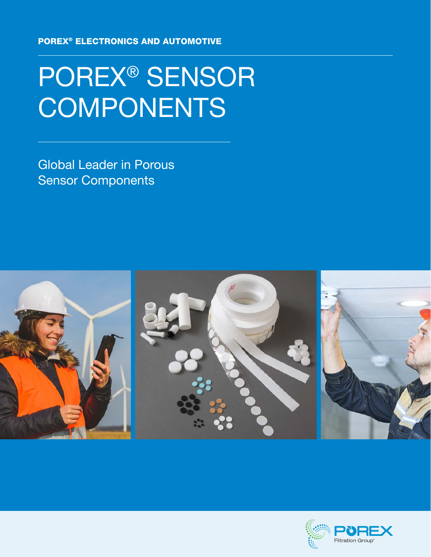POREX® ELECTRONICS AND AUTOMOTIVE

# POREX® SENSOR **COMPONENTS**

Global Leader in Porous Sensor Components



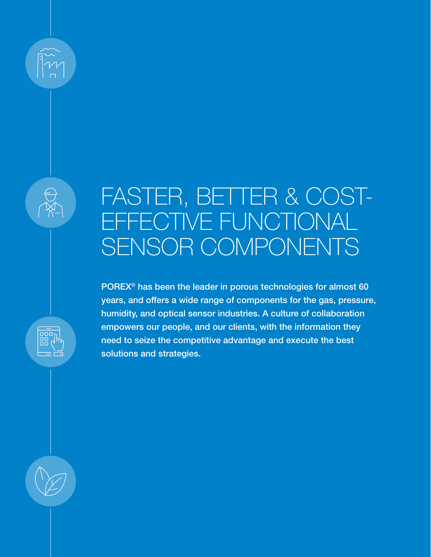## FASTER, BETTER & COST-EFFECTIVE FUNCTIONAL SENSOR COMPONENTS

POREX® has been the leader in porous technologies for almost 60 years, and offers a wide range of components for the gas, pressure, humidity, and optical sensor industries. A culture of collaboration empowers our people, and our clients, with the information they need to seize the competitive advantage and execute the best solutions and strategies.

 $\begin{array}{c} 000 \\ 00 \\ 0 \end{array}$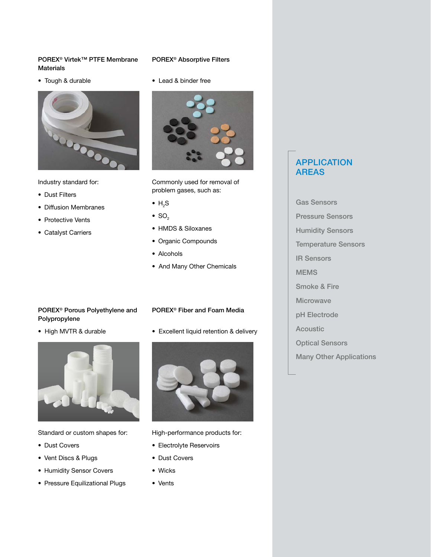### POREX® Virtek™ PTFE Membrane **Materials**

• Tough & durable



Industry standard for:

- Dust Filters
- Diffusion Membranes
- Protective Vents
- Catalyst Carriers

### POREX® Absorptive Filters

• Lead & binder free



Commonly used for removal of problem gases, such as:

- $\bullet$  H<sub>2</sub>S
- $\bullet$  SO<sub>2</sub>
- HMDS & Siloxanes
- Organic Compounds
- Alcohols
- And Many Other Chemicals

POREX® Fiber and Foam Media

• Excellent liquid retention & delivery

### POREX® Porous Polyethylene and Polypropylene

• High MVTR & durable



Standard or custom shapes for:

- Dust Covers
- Vent Discs & Plugs
- Humidity Sensor Covers
- Pressure Equilizational Plugs



High-performance products for:

- Electrolyte Reservoirs
- Dust Covers
- Wicks
- Vents

### APPLICATION AREAS

Gas Sensors Pressure Sensors Humidity Sensors Temperature Sensors IR Sensors MEMS Smoke & Fire Microwave pH Electrode Acoustic Optical Sensors

Many Other Applications